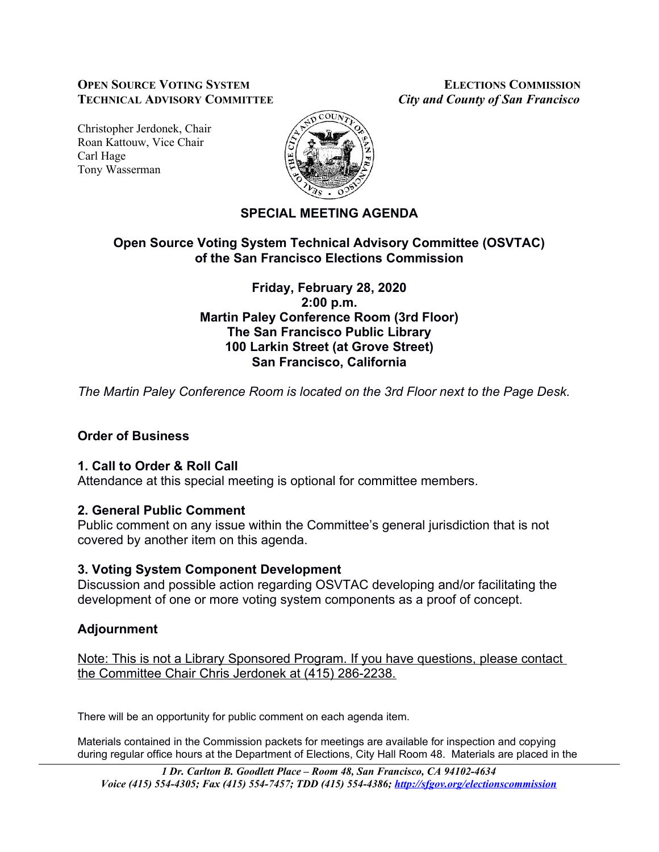#### **OPEN SOURCE VOTING SYSTEM ELECTIONS COMMISSION TECHNICAL ADVISORY COMMITTEE** *City and County of San Francisco*

Christopher Jerdonek, Chair Roan Kattouw, Vice Chair Carl Hage Tony Wasserman



# **SPECIAL MEETING AGENDA**

#### **Open Source Voting System Technical Advisory Committee (OSVTAC) of the San Francisco Elections Commission**

#### **Friday, February 28, 2020 2:00 p.m. Martin Paley Conference Room (3rd Floor) The San Francisco Public Library 100 Larkin Street (at Grove Street) San Francisco, California**

*The Martin Paley Conference Room is located on the 3rd Floor next to the Page Desk.*

# **Order of Business**

# **1. Call to Order & Roll Call**

Attendance at this special meeting is optional for committee members.

# **2. General Public Comment**

Public comment on any issue within the Committee's general jurisdiction that is not covered by another item on this agenda.

#### **3. Voting System Component Development**

Discussion and possible action regarding OSVTAC developing and/or facilitating the development of one or more voting system components as a proof of concept.

# **Adjournment**

Note: This is not a Library Sponsored Program. If you have questions, please contact the Committee Chair Chris Jerdonek at (415) 286-2238.

There will be an opportunity for public comment on each agenda item.

Materials contained in the Commission packets for meetings are available for inspection and copying during regular office hours at the Department of Elections, City Hall Room 48. Materials are placed in the